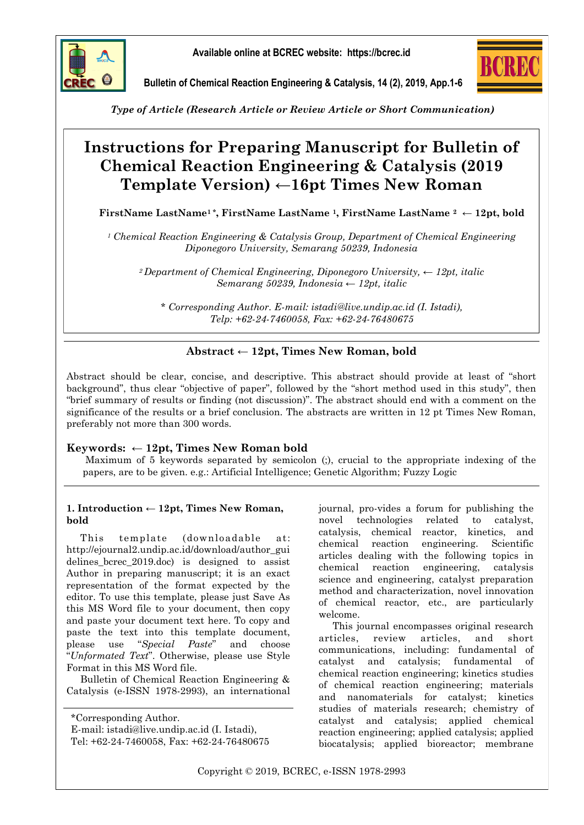

**Available online at BCREC website: https://bcrec.id**



**Bulletin of Chemical Reaction Engineering & Catalysis, 14 (2), 2019, App.1-6**

*Type of Article (Research Article or Review Article or Short Communication)*

# **Instructions for Preparing Manuscript for Bulletin of Chemical Reaction Engineering & Catalysis (2019 Template Version)** ←**16pt Times New Roman**

**FirstName LastName1 \*, FirstName LastName 1, FirstName LastName <sup>2</sup> ← 12pt, bold** 

*<sup>1</sup> Chemical Reaction Engineering & Catalysis Group, Department of Chemical Engineering Diponegoro University, Semarang 50239, Indonesia* 

*<sup>2</sup>Department of Chemical Engineering, Diponegoro University, ← 12pt, italic Semarang 50239, Indonesia ← 12pt, italic*

*\* Corresponding Author. E-mail: istadi@live.undip.ac.id (I. Istadi), Telp: +62-24-7460058, Fax: +62-24-76480675*

# **Abstract ← 12pt, Times New Roman, bold**

Abstract should be clear, concise, and descriptive. This abstract should provide at least of "short background", thus clear "objective of paper", followed by the "short method used in this study", then "brief summary of results or finding (not discussion)". The abstract should end with a comment on the significance of the results or a brief conclusion. The abstracts are written in 12 pt Times New Roman, preferably not more than 300 words.

# **Keywords: ← 12pt, Times New Roman bold**

Maximum of 5 keywords separated by semicolon (;), crucial to the appropriate indexing of the papers, are to be given. e.g.: Artificial Intelligence; Genetic Algorithm; Fuzzy Logic

## **1. Introduction ← 12pt, Times New Roman, bold**

This template (downloadable at: http://ejournal2.undip.ac.id/download/author\_gui delines\_bcrec\_2019.doc) is designed to assist Author in preparing manuscript; it is an exact representation of the format expected by the editor. To use this template, please just Save As this MS Word file to your document, then copy and paste your document text here. To copy and paste the text into this template document, please use "*Special Paste*" and choose "*Unformated Text*". Otherwise, please use Style Format in this MS Word file.

Bulletin of Chemical Reaction Engineering & Catalysis (e-ISSN 1978-2993), an international

\*Corresponding Author. E-mail: istadi@live.undip.ac.id (I. Istadi), Tel: +62-24-7460058, Fax: +62-24-76480675 journal, pro-vides a forum for publishing the novel technologies related to catalyst, catalysis, chemical reactor, kinetics, and chemical reaction engineering. Scientific articles dealing with the following topics in chemical reaction engineering, catalysis science and engineering, catalyst preparation method and characterization, novel innovation of chemical reactor, etc., are particularly welcome.

This journal encompasses original research articles, review articles, and short communications, including: fundamental of catalyst and catalysis; fundamental of chemical reaction engineering; kinetics studies of chemical reaction engineering; materials and nanomaterials for catalyst; kinetics studies of materials research; chemistry of catalyst and catalysis; applied chemical reaction engineering; applied catalysis; applied biocatalysis; applied bioreactor; membrane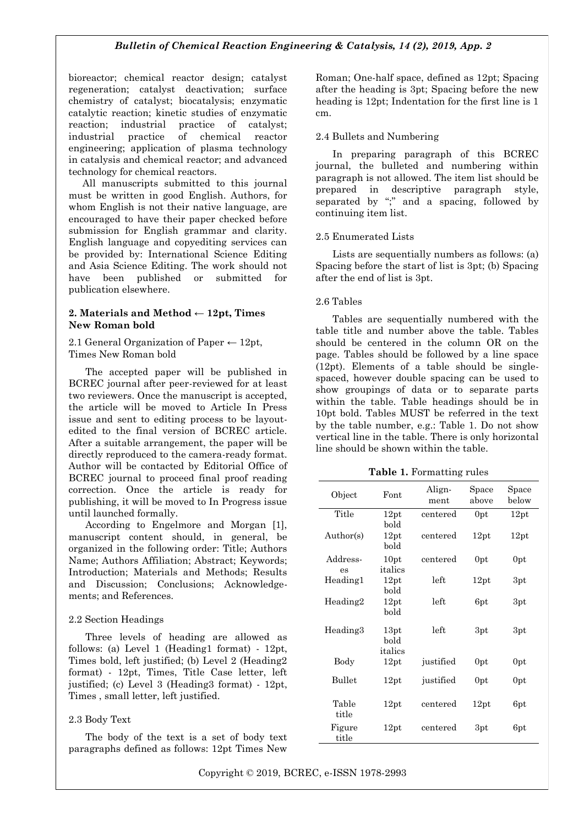## *Bulletin of Chemical Reaction Engineering & Catalysis, 14 (2), 2019, App. 2*

bioreactor; chemical reactor design; catalyst regeneration; catalyst deactivation; surface chemistry of catalyst; biocatalysis; enzymatic catalytic reaction; kinetic studies of enzymatic reaction; industrial practice of catalyst; industrial practice of chemical reactor engineering; application of plasma technology in catalysis and chemical reactor; and advanced technology for chemical reactors.

All manuscripts submitted to this journal must be written in good English. Authors, for whom English is not their native language, are encouraged to have their paper checked before submission for English grammar and clarity. English language and copyediting services can be provided by: International Science Editing and Asia Science Editing. The work should not have been published or submitted for publication elsewhere.

#### **2. Materials and Method ← 12pt, Times New Roman bold**

#### 2.1 General Organization of Paper  $\leftarrow$  12pt, Times New Roman bold

The accepted paper will be published in BCREC journal after peer-reviewed for at least two reviewers. Once the manuscript is accepted, the article will be moved to Article In Press issue and sent to editing process to be layoutedited to the final version of BCREC article. After a suitable arrangement, the paper will be directly reproduced to the camera-ready format. Author will be contacted by Editorial Office of BCREC journal to proceed final proof reading correction. Once the article is ready for publishing, it will be moved to In Progress issue until launched formally.

According to Engelmore and Morgan [1], manuscript content should, in general, be organized in the following order: Title; Authors Name; Authors Affiliation; Abstract; Keywords; Introduction; Materials and Methods; Results and Discussion; Conclusions; Acknowledgements; and References.

#### 2.2 Section Headings

Three levels of heading are allowed as follows: (a) Level 1 (Heading1 format) - 12pt, Times bold, left justified; (b) Level 2 (Heading2 format) - 12pt, Times, Title Case letter, left justified; (c) Level 3 (Heading3 format) - 12pt, Times , small letter, left justified.

#### 2.3 Body Text

The body of the text is a set of body text paragraphs defined as follows: 12pt Times New

Roman; One-half space, defined as 12pt; Spacing after the heading is 3pt; Spacing before the new heading is 12pt; Indentation for the first line is 1 cm.

#### 2.4 Bullets and Numbering

In preparing paragraph of this BCREC journal, the bulleted and numbering within paragraph is not allowed. The item list should be prepared in descriptive paragraph style, separated by ";" and a spacing, followed by continuing item list.

#### 2.5 Enumerated Lists

Lists are sequentially numbers as follows: (a) Spacing before the start of list is 3pt; (b) Spacing after the end of list is 3pt.

#### 2.6 Tables

Tables are sequentially numbered with the table title and number above the table. Tables should be centered in the column OR on the page. Tables should be followed by a line space (12pt). Elements of a table should be singlespaced, however double spacing can be used to show groupings of data or to separate parts within the table. Table headings should be in 10pt bold. Tables MUST be referred in the text by the table number, e.g.: Table 1. Do not show vertical line in the table. There is only horizontal line should be shown within the table.

**Table 1.** Formatting rules

| Object          | Font                    | Align-<br>ment | Space<br>above | Space<br>below |
|-----------------|-------------------------|----------------|----------------|----------------|
| Title           | 12pt<br>bold            | centered       | 0pt            | 12pt           |
| Author(s)       | 12pt<br>bold            | centered       | 12pt           | 12pt           |
| Address-<br>es  | 10pt<br>italics         | centered       | 0pt            | 0pt            |
| Heading1        | 12pt<br>bold            | left           | 12pt           | 3pt            |
| Heading2        | 12pt<br>bold            | left           | 6pt            | 3pt            |
| Heading3        | 13pt<br>bold<br>italics | left           | 3pt            | 3pt            |
| Body            | 12pt                    | justified      | 0pt            | 0pt            |
| <b>Bullet</b>   | 12pt                    | justified      | 0pt            | 0pt            |
| Table<br>title  | 12pt                    | centered       | 12pt           | 6pt            |
| Figure<br>title | 12pt                    | centered       | 3pt            | 6pt            |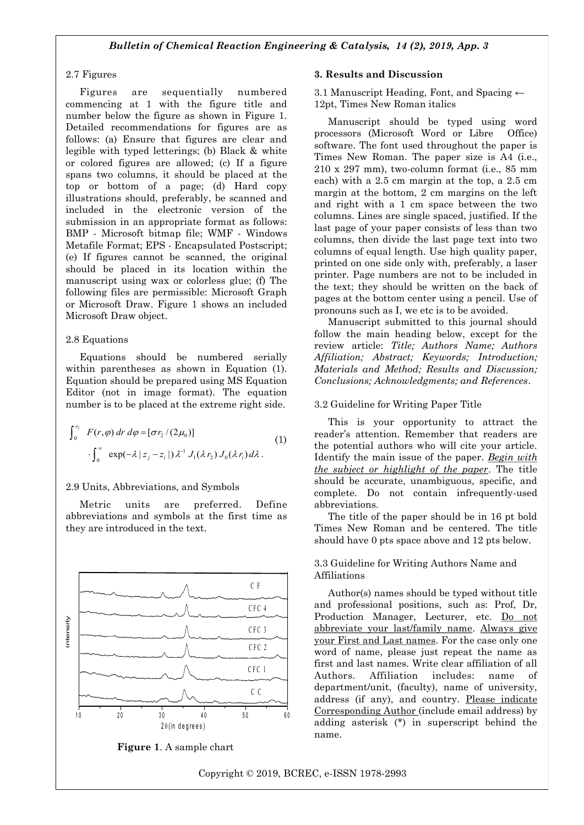#### 2.7 Figures

Figures are sequentially numbered commencing at 1 with the figure title and number below the figure as shown in Figure 1. Detailed recommendations for figures are as follows: (a) Ensure that figures are clear and legible with typed letterings; (b) Black & white or colored figures are allowed; (c) If a figure spans two columns, it should be placed at the top or bottom of a page; (d) Hard copy illustrations should, preferably, be scanned and included in the electronic version of the submission in an appropriate format as follows: BMP - Microsoft bitmap file; WMF - Windows Metafile Format; EPS - Encapsulated Postscript; (e) If figures cannot be scanned, the original should be placed in its location within the manuscript using wax or colorless glue; (f) The following files are permissible: Microsoft Graph or Microsoft Draw. Figure 1 shows an included Microsoft Draw object.

#### 2.8 Equations

Equations should be numbered serially within parentheses as shown in Equation (1). Equation should be prepared using MS Equation Editor (not in image format). The equation number is to be placed at the extreme right side.

$$
\int_0^{r_2} F(r,\varphi) dr d\varphi = [\sigma r_2/(2\mu_0)]
$$
\n
$$
\cdot \int_0^{\infty} \exp(-\lambda |z_j - z_i|) \lambda^{-1} J_1(\lambda r_2) J_0(\lambda r_i) d\lambda.
$$
\n(1)\n
$$
\text{the}
$$
\n
$$
\text{Iden}
$$

#### 2.9 Units, Abbreviations, and Symbols

Metric units are preferred. Define abbreviations and symbols at the first time as they are introduced in the text.



**Figure 1**. A sample chart

#### **3. Results and Discussion**

3.1 Manuscript Heading, Font, and Spacing ← 12pt, Times New Roman italics

Manuscript should be typed using word processors (Microsoft Word or Libre Office) software. The font used throughout the paper is Times New Roman. The paper size is A4 (i.e., 210 x 297 mm), two-column format (i.e., 85 mm each) with a 2.5 cm margin at the top, a 2.5 cm margin at the bottom, 2 cm margins on the left and right with a 1 cm space between the two columns. Lines are single spaced, justified. If the last page of your paper consists of less than two columns, then divide the last page text into two columns of equal length. Use high quality paper, printed on one side only with, preferably, a laser printer. Page numbers are not to be included in the text; they should be written on the back of pages at the bottom center using a pencil. Use of pronouns such as I, we etc is to be avoided.

Manuscript submitted to this journal should follow the main heading below, except for the review article: *Title; Authors Name; Authors Affiliation; Abstract; Keywords; Introduction; Materials and Method; Results and Discussion; Conclusions; Acknowledgments; and References*.

#### 3.2 Guideline for Writing Paper Title

This is your opportunity to attract the reader's attention. Remember that readers are the potential authors who will cite your article.  $\lambda |z_i - z_i|$ )  $\lambda^{-1} J_1(\lambda r_i) J_0(\lambda r_i) d\lambda$ . Identify the main issue of the paper. <u>Begin with</u> *the subject or highlight of the paper*. The title should be accurate, unambiguous, specific, and complete. Do not contain infrequently-used abbreviations.

> The title of the paper should be in 16 pt bold Times New Roman and be centered. The title should have 0 pts space above and 12 pts below.

#### 3.3 Guideline for Writing Authors Name and Affiliations

Author(s) names should be typed without title and professional positions, such as: Prof, Dr, Production Manager, Lecturer, etc. Do not abbreviate your last/family name. Always give your First and Last names. For the case only one word of name, please just repeat the name as first and last names. Write clear affiliation of all Authors. Affiliation includes: name of department/unit, (faculty), name of university, address (if any), and country. Please indicate Corresponding Author (include email address) by adding asterisk (\*) in superscript behind the name.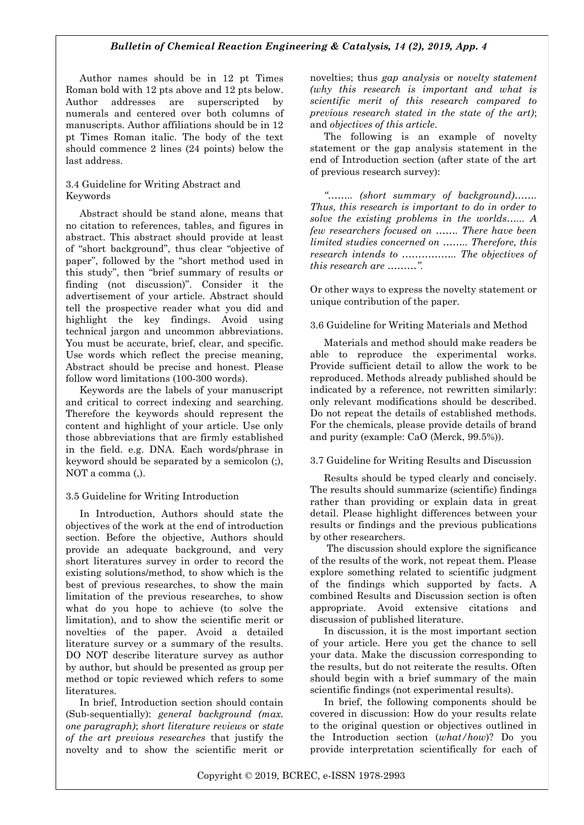## *Bulletin of Chemical Reaction Engineering & Catalysis, 14 (2), 2019, App. 4*

Author names should be in 12 pt Times Roman bold with 12 pts above and 12 pts below. Author addresses are superscripted by numerals and centered over both columns of manuscripts. Author affiliations should be in 12 pt Times Roman italic. The body of the text should commence 2 lines (24 points) below the last address.

#### 3.4 Guideline for Writing Abstract and Keywords

Abstract should be stand alone, means that no citation to references, tables, and figures in abstract. This abstract should provide at least of "short background", thus clear "objective of paper", followed by the "short method used in this study", then "brief summary of results or finding (not discussion)". Consider it the advertisement of your article. Abstract should tell the prospective reader what you did and highlight the key findings. Avoid using technical jargon and uncommon abbreviations. You must be accurate, brief, clear, and specific. Use words which reflect the precise meaning, Abstract should be precise and honest. Please follow word limitations (100‐300 words).

Keywords are the labels of your manuscript and critical to correct indexing and searching. Therefore the keywords should represent the content and highlight of your article. Use only those abbreviations that are firmly established in the field. e.g. DNA. Each words/phrase in keyword should be separated by a semicolon (;), NOT a comma (,).

#### 3.5 Guideline for Writing Introduction

In Introduction, Authors should state the objectives of the work at the end of introduction section. Before the objective, Authors should provide an adequate background, and very short literatures survey in order to record the existing solutions/method, to show which is the best of previous researches, to show the main limitation of the previous researches, to show what do you hope to achieve (to solve the limitation), and to show the scientific merit or novelties of the paper. Avoid a detailed literature survey or a summary of the results. DO NOT describe literature survey as author by author, but should be presented as group per method or topic reviewed which refers to some literatures.

In brief, Introduction section should contain (Sub-sequentially): *general background (max. one paragraph)*; *short literature reviews* or *state of the art previous researches* that justify the novelty and to show the scientific merit or novelties; thus *gap analysis* or *novelty statement (why this research is important and what is scientific merit of this research compared to previous research stated in the state of the art)*; and *objectives of this article*.

The following is an example of novelty statement or the gap analysis statement in the end of Introduction section (after state of the art of previous research survey):

*"…….. (short summary of background)……. Thus, this research is important to do in order to solve the existing problems in the worlds…... A few researchers focused on ……. There have been limited studies concerned on …….. Therefore, this research intends to …………….. The objectives of this research are ………".*

Or other ways to express the novelty statement or unique contribution of the paper.

## 3.6 Guideline for Writing Materials and Method

Materials and method should make readers be able to reproduce the experimental works. Provide sufficient detail to allow the work to be reproduced. Methods already published should be indicated by a reference, not rewritten similarly: only relevant modifications should be described. Do not repeat the details of established methods. For the chemicals, please provide details of brand and purity (example: CaO (Merck, 99.5%)).

#### 3.7 Guideline for Writing Results and Discussion

Results should be typed clearly and concisely. The results should summarize (scientific) findings rather than providing or explain data in great detail. Please highlight differences between your results or findings and the previous publications by other researchers.

The discussion should explore the significance of the results of the work, not repeat them. Please explore something related to scientific judgment of the findings which supported by facts. A combined Results and Discussion section is often appropriate. Avoid extensive citations and discussion of published literature.

In discussion, it is the most important section of your article. Here you get the chance to sell your data. Make the discussion corresponding to the results, but do not reiterate the results. Often should begin with a brief summary of the main scientific findings (not experimental results).

In brief, the following components should be covered in discussion: How do your results relate to the original question or objectives outlined in the Introduction section (*what/how*)? Do you provide interpretation scientifically for each of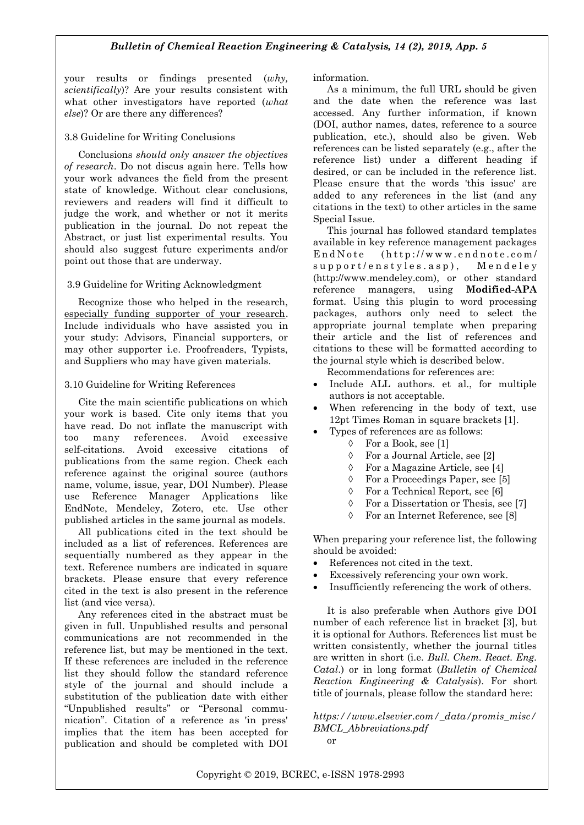your results or findings presented (*why, scientifically*)? Are your results consistent with what other investigators have reported (*what else*)? Or are there any differences?

## 3.8 Guideline for Writing Conclusions

Conclusions *should only answer the objectives of research*. Do not discus again here. Tells how your work advances the field from the present state of knowledge. Without clear conclusions, reviewers and readers will find it difficult to judge the work, and whether or not it merits publication in the journal. Do not repeat the Abstract, or just list experimental results. You should also suggest future experiments and/or point out those that are underway.

#### 3.9 Guideline for Writing Acknowledgment

Recognize those who helped in the research, especially funding supporter of your research. Include individuals who have assisted you in your study: Advisors, Financial supporters, or may other supporter i.e. Proofreaders, Typists, and Suppliers who may have given materials.

## 3.10 Guideline for Writing References

Cite the main scientific publications on which your work is based. Cite only items that you have read. Do not inflate the manuscript with too many references. Avoid excessive self-citations. Avoid excessive citations of publications from the same region. Check each reference against the original source (authors name, volume, issue, year, DOI Number). Please use Reference Manager Applications like EndNote, Mendeley, Zotero, etc. Use other published articles in the same journal as models.

All publications cited in the text should be included as a list of references. References are sequentially numbered as they appear in the text. Reference numbers are indicated in square brackets. Please ensure that every reference cited in the text is also present in the reference list (and vice versa).

Any references cited in the abstract must be given in full. Unpublished results and personal communications are not recommended in the reference list, but may be mentioned in the text. If these references are included in the reference list they should follow the standard reference style of the journal and should include a substitution of the publication date with either "Unpublished results" or "Personal communication". Citation of a reference as 'in press' implies that the item has been accepted for publication and should be completed with DOI information.

As a minimum, the full URL should be given and the date when the reference was last accessed. Any further information, if known (DOI, author names, dates, reference to a source publication, etc.), should also be given. Web references can be listed separately (e.g., after the reference list) under a different heading if desired, or can be included in the reference list. Please ensure that the words 'this issue' are added to any references in the list (and any citations in the text) to other articles in the same Special Issue.

This journal has followed standard templates available in key reference management packages  $End Note$  (http://www.endnote.com/  $support/enstyle, asp)$ , Mendeley (http://www.mendeley.com), or other standard reference managers, using **Modified-APA**  format. Using this plugin to word processing packages, authors only need to select the appropriate journal template when preparing their article and the list of references and citations to these will be formatted according to the journal style which is described below.

Recommendations for references are:

- Include ALL authors. et al., for multiple authors is not acceptable.
- When referencing in the body of text, use 12pt Times Roman in square brackets [1].
	- Types of references are as follows:
		- For a Book, see [1]
		- For a Journal Article, see [2]
		- For a Magazine Article, see [4]
		- For a Proceedings Paper, see [5]
		- For a Technical Report, see [6]
		- For a Dissertation or Thesis, see [7]
		- For an Internet Reference, see [8]

When preparing your reference list, the following should be avoided:

- References not cited in the text.
- Excessively referencing your own work.
- Insufficiently referencing the work of others.

It is also preferable when Authors give DOI number of each reference list in bracket [3], but it is optional for Authors. References list must be written consistently, whether the journal titles are written in short (i.e. *Bull. Chem. React. Eng. Catal*.) or in long format (*Bulletin of Chemical Reaction Engineering & Catalysis*). For short title of journals, please follow the standard here:

*https://www.elsevier.com/\_data/promis\_misc/ BMCL\_Abbreviations.pdf*  or